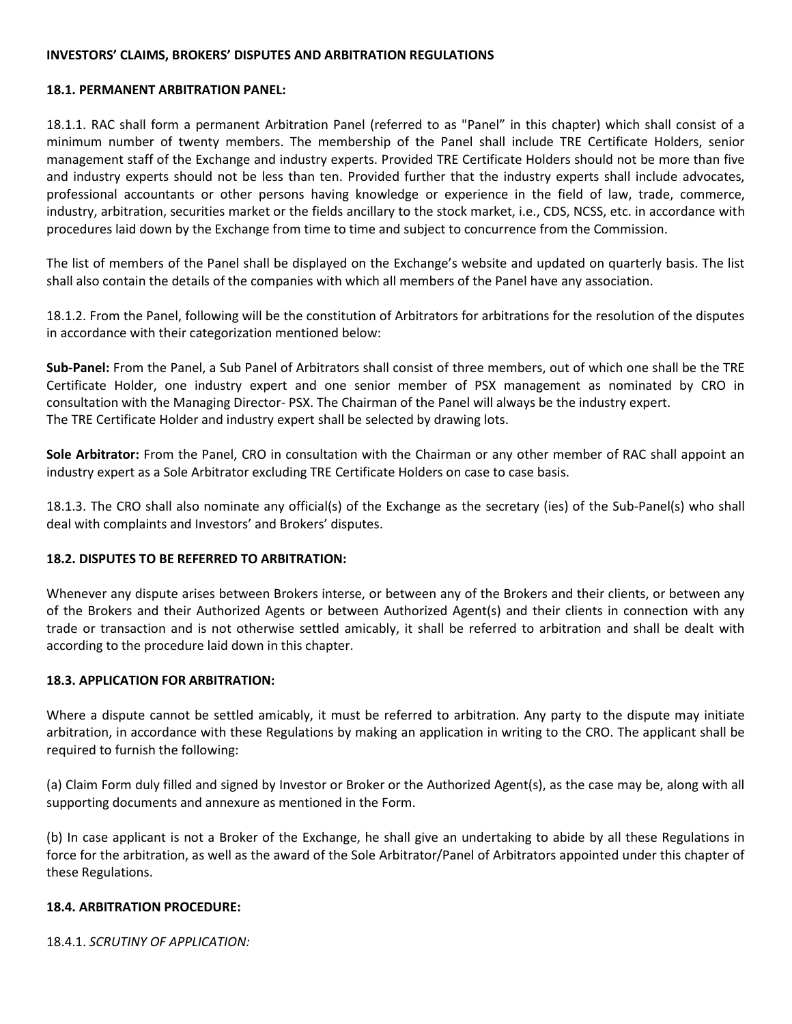#### **INVESTORS' CLAIMS, BROKERS' DISPUTES AND ARBITRATION REGULATIONS**

#### **18.1. PERMANENT ARBITRATION PANEL:**

18.1.1. RAC shall form a permanent Arbitration Panel (referred to as "Panel" in this chapter) which shall consist of a minimum number of twenty members. The membership of the Panel shall include TRE Certificate Holders, senior management staff of the Exchange and industry experts. Provided TRE Certificate Holders should not be more than five and industry experts should not be less than ten. Provided further that the industry experts shall include advocates, professional accountants or other persons having knowledge or experience in the field of law, trade, commerce, industry, arbitration, securities market or the fields ancillary to the stock market, i.e., CDS, NCSS, etc. in accordance with procedures laid down by the Exchange from time to time and subject to concurrence from the Commission.

The list of members of the Panel shall be displayed on the Exchange's website and updated on quarterly basis. The list shall also contain the details of the companies with which all members of the Panel have any association.

18.1.2. From the Panel, following will be the constitution of Arbitrators for arbitrations for the resolution of the disputes in accordance with their categorization mentioned below:

**Sub-Panel:** From the Panel, a Sub Panel of Arbitrators shall consist of three members, out of which one shall be the TRE Certificate Holder, one industry expert and one senior member of PSX management as nominated by CRO in consultation with the Managing Director- PSX. The Chairman of the Panel will always be the industry expert. The TRE Certificate Holder and industry expert shall be selected by drawing lots.

**Sole Arbitrator:** From the Panel, CRO in consultation with the Chairman or any other member of RAC shall appoint an industry expert as a Sole Arbitrator excluding TRE Certificate Holders on case to case basis.

18.1.3. The CRO shall also nominate any official(s) of the Exchange as the secretary (ies) of the Sub-Panel(s) who shall deal with complaints and Investors' and Brokers' disputes.

### **18.2. DISPUTES TO BE REFERRED TO ARBITRATION:**

Whenever any dispute arises between Brokers interse, or between any of the Brokers and their clients, or between any of the Brokers and their Authorized Agents or between Authorized Agent(s) and their clients in connection with any trade or transaction and is not otherwise settled amicably, it shall be referred to arbitration and shall be dealt with according to the procedure laid down in this chapter.

### **18.3. APPLICATION FOR ARBITRATION:**

Where a dispute cannot be settled amicably, it must be referred to arbitration. Any party to the dispute may initiate arbitration, in accordance with these Regulations by making an application in writing to the CRO. The applicant shall be required to furnish the following:

(a) Claim Form duly filled and signed by Investor or Broker or the Authorized Agent(s), as the case may be, along with all supporting documents and annexure as mentioned in the Form.

(b) In case applicant is not a Broker of the Exchange, he shall give an undertaking to abide by all these Regulations in force for the arbitration, as well as the award of the Sole Arbitrator/Panel of Arbitrators appointed under this chapter of these Regulations.

### **18.4. ARBITRATION PROCEDURE:**

18.4.1. *SCRUTINY OF APPLICATION:*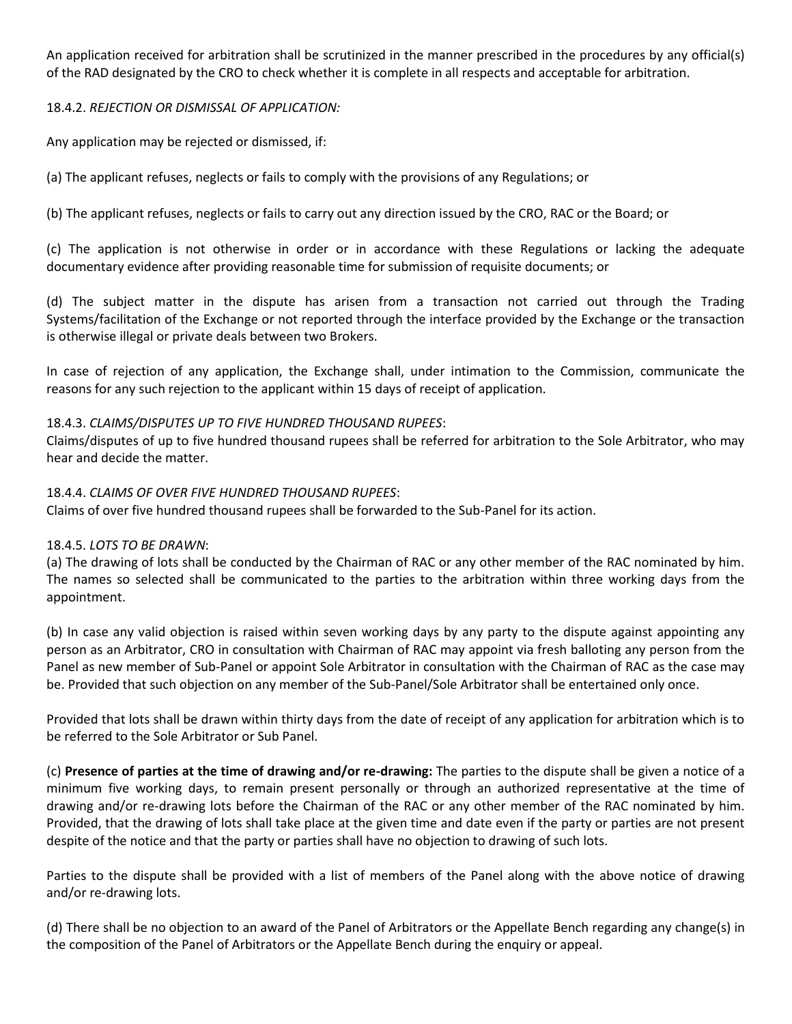An application received for arbitration shall be scrutinized in the manner prescribed in the procedures by any official(s) of the RAD designated by the CRO to check whether it is complete in all respects and acceptable for arbitration.

# 18.4.2. *REJECTION OR DISMISSAL OF APPLICATION:*

Any application may be rejected or dismissed, if:

(a) The applicant refuses, neglects or fails to comply with the provisions of any Regulations; or

(b) The applicant refuses, neglects or fails to carry out any direction issued by the CRO, RAC or the Board; or

(c) The application is not otherwise in order or in accordance with these Regulations or lacking the adequate documentary evidence after providing reasonable time for submission of requisite documents; or

(d) The subject matter in the dispute has arisen from a transaction not carried out through the Trading Systems/facilitation of the Exchange or not reported through the interface provided by the Exchange or the transaction is otherwise illegal or private deals between two Brokers.

In case of rejection of any application, the Exchange shall, under intimation to the Commission, communicate the reasons for any such rejection to the applicant within 15 days of receipt of application.

### 18.4.3. *CLAIMS/DISPUTES UP TO FIVE HUNDRED THOUSAND RUPEES*:

Claims/disputes of up to five hundred thousand rupees shall be referred for arbitration to the Sole Arbitrator, who may hear and decide the matter.

### 18.4.4. *CLAIMS OF OVER FIVE HUNDRED THOUSAND RUPEES*:

Claims of over five hundred thousand rupees shall be forwarded to the Sub-Panel for its action.

### 18.4.5. *LOTS TO BE DRAWN*:

(a) The drawing of lots shall be conducted by the Chairman of RAC or any other member of the RAC nominated by him. The names so selected shall be communicated to the parties to the arbitration within three working days from the appointment.

(b) In case any valid objection is raised within seven working days by any party to the dispute against appointing any person as an Arbitrator, CRO in consultation with Chairman of RAC may appoint via fresh balloting any person from the Panel as new member of Sub-Panel or appoint Sole Arbitrator in consultation with the Chairman of RAC as the case may be. Provided that such objection on any member of the Sub-Panel/Sole Arbitrator shall be entertained only once.

Provided that lots shall be drawn within thirty days from the date of receipt of any application for arbitration which is to be referred to the Sole Arbitrator or Sub Panel.

(c) **Presence of parties at the time of drawing and/or re-drawing:** The parties to the dispute shall be given a notice of a minimum five working days, to remain present personally or through an authorized representative at the time of drawing and/or re-drawing lots before the Chairman of the RAC or any other member of the RAC nominated by him. Provided, that the drawing of lots shall take place at the given time and date even if the party or parties are not present despite of the notice and that the party or parties shall have no objection to drawing of such lots.

Parties to the dispute shall be provided with a list of members of the Panel along with the above notice of drawing and/or re-drawing lots.

(d) There shall be no objection to an award of the Panel of Arbitrators or the Appellate Bench regarding any change(s) in the composition of the Panel of Arbitrators or the Appellate Bench during the enquiry or appeal.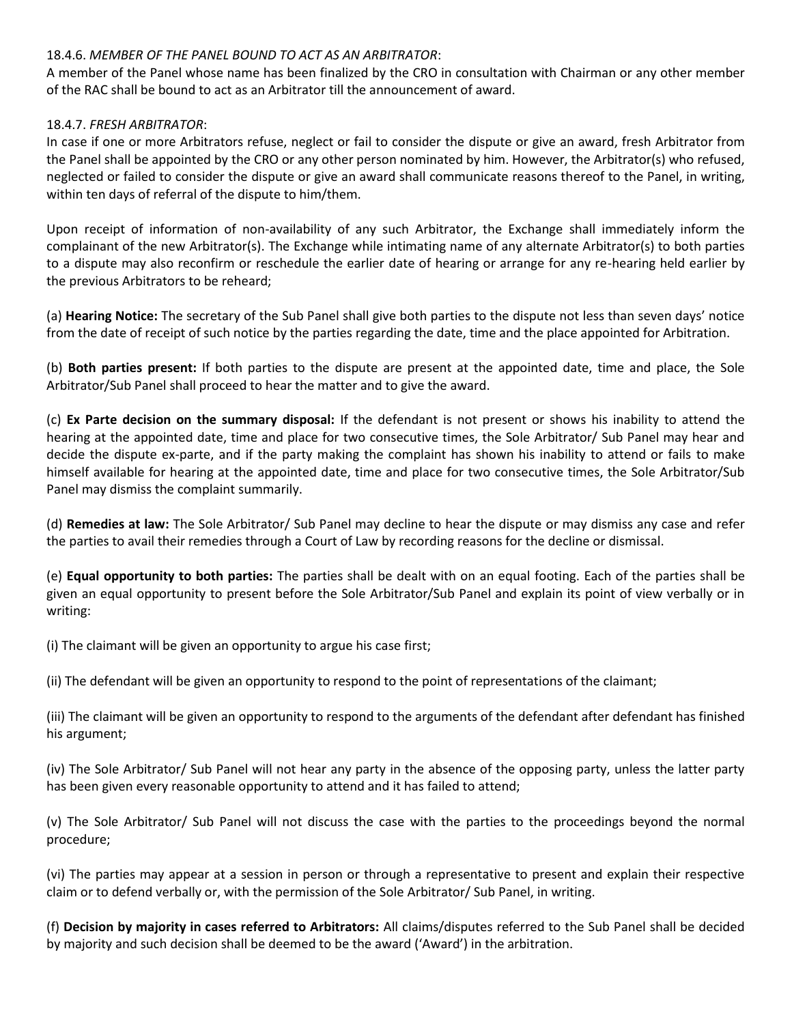# 18.4.6. *MEMBER OF THE PANEL BOUND TO ACT AS AN ARBITRATOR*:

A member of the Panel whose name has been finalized by the CRO in consultation with Chairman or any other member of the RAC shall be bound to act as an Arbitrator till the announcement of award.

## 18.4.7. *FRESH ARBITRATOR*:

In case if one or more Arbitrators refuse, neglect or fail to consider the dispute or give an award, fresh Arbitrator from the Panel shall be appointed by the CRO or any other person nominated by him. However, the Arbitrator(s) who refused, neglected or failed to consider the dispute or give an award shall communicate reasons thereof to the Panel, in writing, within ten days of referral of the dispute to him/them.

Upon receipt of information of non-availability of any such Arbitrator, the Exchange shall immediately inform the complainant of the new Arbitrator(s). The Exchange while intimating name of any alternate Arbitrator(s) to both parties to a dispute may also reconfirm or reschedule the earlier date of hearing or arrange for any re-hearing held earlier by the previous Arbitrators to be reheard;

(a) **Hearing Notice:** The secretary of the Sub Panel shall give both parties to the dispute not less than seven days' notice from the date of receipt of such notice by the parties regarding the date, time and the place appointed for Arbitration.

(b) **Both parties present:** If both parties to the dispute are present at the appointed date, time and place, the Sole Arbitrator/Sub Panel shall proceed to hear the matter and to give the award.

(c) **Ex Parte decision on the summary disposal:** If the defendant is not present or shows his inability to attend the hearing at the appointed date, time and place for two consecutive times, the Sole Arbitrator/ Sub Panel may hear and decide the dispute ex-parte, and if the party making the complaint has shown his inability to attend or fails to make himself available for hearing at the appointed date, time and place for two consecutive times, the Sole Arbitrator/Sub Panel may dismiss the complaint summarily.

(d) **Remedies at law:** The Sole Arbitrator/ Sub Panel may decline to hear the dispute or may dismiss any case and refer the parties to avail their remedies through a Court of Law by recording reasons for the decline or dismissal.

(e) **Equal opportunity to both parties:** The parties shall be dealt with on an equal footing. Each of the parties shall be given an equal opportunity to present before the Sole Arbitrator/Sub Panel and explain its point of view verbally or in writing:

(i) The claimant will be given an opportunity to argue his case first;

(ii) The defendant will be given an opportunity to respond to the point of representations of the claimant;

(iii) The claimant will be given an opportunity to respond to the arguments of the defendant after defendant has finished his argument;

(iv) The Sole Arbitrator/ Sub Panel will not hear any party in the absence of the opposing party, unless the latter party has been given every reasonable opportunity to attend and it has failed to attend;

(v) The Sole Arbitrator/ Sub Panel will not discuss the case with the parties to the proceedings beyond the normal procedure;

(vi) The parties may appear at a session in person or through a representative to present and explain their respective claim or to defend verbally or, with the permission of the Sole Arbitrator/ Sub Panel, in writing.

(f) **Decision by majority in cases referred to Arbitrators:** All claims/disputes referred to the Sub Panel shall be decided by majority and such decision shall be deemed to be the award ('Award') in the arbitration.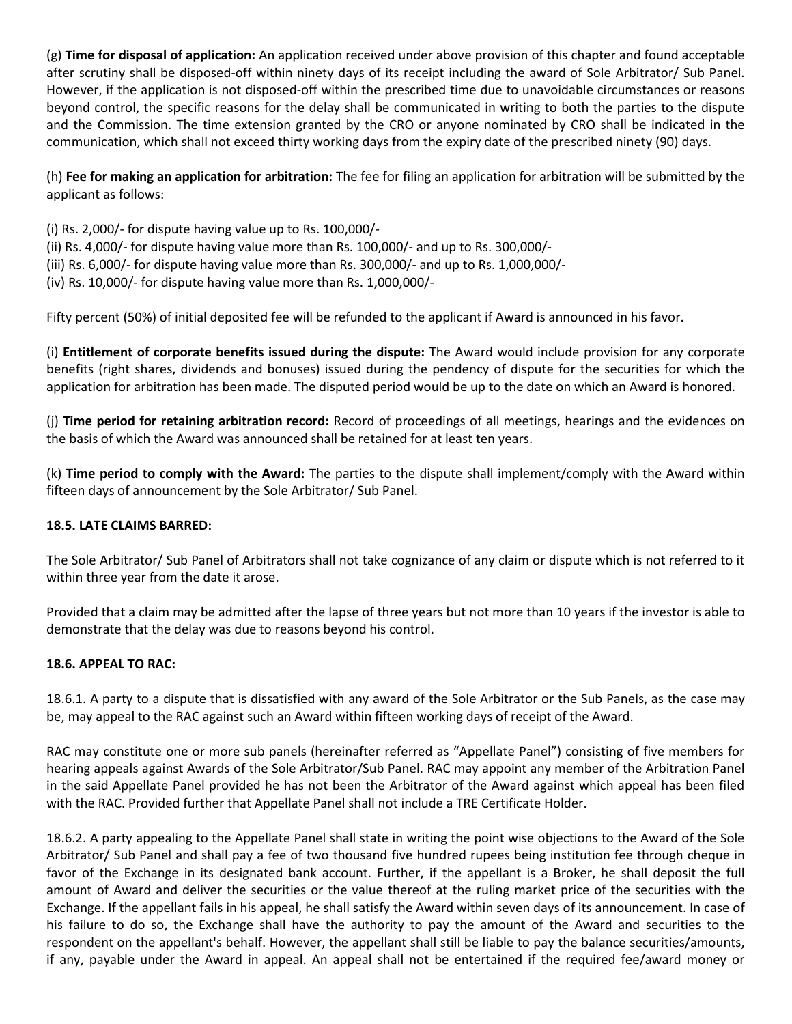(g) **Time for disposal of application:** An application received under above provision of this chapter and found acceptable after scrutiny shall be disposed-off within ninety days of its receipt including the award of Sole Arbitrator/ Sub Panel. However, if the application is not disposed-off within the prescribed time due to unavoidable circumstances or reasons beyond control, the specific reasons for the delay shall be communicated in writing to both the parties to the dispute and the Commission. The time extension granted by the CRO or anyone nominated by CRO shall be indicated in the communication, which shall not exceed thirty working days from the expiry date of the prescribed ninety (90) days.

(h) **Fee for making an application for arbitration:** The fee for filing an application for arbitration will be submitted by the applicant as follows:

- (i) Rs. 2,000/- for dispute having value up to Rs. 100,000/-
- (ii) Rs. 4,000/- for dispute having value more than Rs. 100,000/- and up to Rs. 300,000/-
- (iii) Rs. 6,000/- for dispute having value more than Rs. 300,000/- and up to Rs. 1,000,000/-
- (iv) Rs. 10,000/- for dispute having value more than Rs. 1,000,000/-

Fifty percent (50%) of initial deposited fee will be refunded to the applicant if Award is announced in his favor.

(i) **Entitlement of corporate benefits issued during the dispute:** The Award would include provision for any corporate benefits (right shares, dividends and bonuses) issued during the pendency of dispute for the securities for which the application for arbitration has been made. The disputed period would be up to the date on which an Award is honored.

(j) **Time period for retaining arbitration record:** Record of proceedings of all meetings, hearings and the evidences on the basis of which the Award was announced shall be retained for at least ten years.

(k) **Time period to comply with the Award:** The parties to the dispute shall implement/comply with the Award within fifteen days of announcement by the Sole Arbitrator/ Sub Panel.

### **18.5. LATE CLAIMS BARRED:**

The Sole Arbitrator/ Sub Panel of Arbitrators shall not take cognizance of any claim or dispute which is not referred to it within three year from the date it arose.

Provided that a claim may be admitted after the lapse of three years but not more than 10 years if the investor is able to demonstrate that the delay was due to reasons beyond his control.

### **18.6. APPEAL TO RAC:**

18.6.1. A party to a dispute that is dissatisfied with any award of the Sole Arbitrator or the Sub Panels, as the case may be, may appeal to the RAC against such an Award within fifteen working days of receipt of the Award.

RAC may constitute one or more sub panels (hereinafter referred as "Appellate Panel") consisting of five members for hearing appeals against Awards of the Sole Arbitrator/Sub Panel. RAC may appoint any member of the Arbitration Panel in the said Appellate Panel provided he has not been the Arbitrator of the Award against which appeal has been filed with the RAC. Provided further that Appellate Panel shall not include a TRE Certificate Holder.

18.6.2. A party appealing to the Appellate Panel shall state in writing the point wise objections to the Award of the Sole Arbitrator/ Sub Panel and shall pay a fee of two thousand five hundred rupees being institution fee through cheque in favor of the Exchange in its designated bank account. Further, if the appellant is a Broker, he shall deposit the full amount of Award and deliver the securities or the value thereof at the ruling market price of the securities with the Exchange. If the appellant fails in his appeal, he shall satisfy the Award within seven days of its announcement. In case of his failure to do so, the Exchange shall have the authority to pay the amount of the Award and securities to the respondent on the appellant's behalf. However, the appellant shall still be liable to pay the balance securities/amounts, if any, payable under the Award in appeal. An appeal shall not be entertained if the required fee/award money or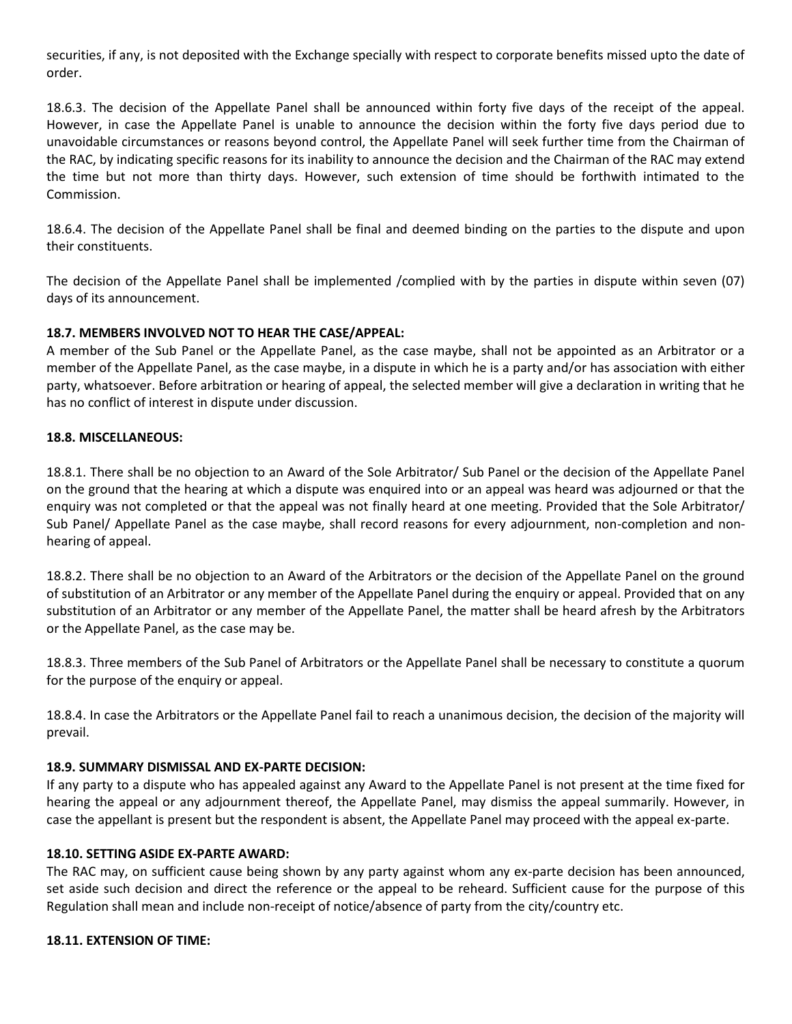securities, if any, is not deposited with the Exchange specially with respect to corporate benefits missed upto the date of order.

18.6.3. The decision of the Appellate Panel shall be announced within forty five days of the receipt of the appeal. However, in case the Appellate Panel is unable to announce the decision within the forty five days period due to unavoidable circumstances or reasons beyond control, the Appellate Panel will seek further time from the Chairman of the RAC, by indicating specific reasons for its inability to announce the decision and the Chairman of the RAC may extend the time but not more than thirty days. However, such extension of time should be forthwith intimated to the Commission.

18.6.4. The decision of the Appellate Panel shall be final and deemed binding on the parties to the dispute and upon their constituents.

The decision of the Appellate Panel shall be implemented /complied with by the parties in dispute within seven (07) days of its announcement.

# **18.7. MEMBERS INVOLVED NOT TO HEAR THE CASE/APPEAL:**

A member of the Sub Panel or the Appellate Panel, as the case maybe, shall not be appointed as an Arbitrator or a member of the Appellate Panel, as the case maybe, in a dispute in which he is a party and/or has association with either party, whatsoever. Before arbitration or hearing of appeal, the selected member will give a declaration in writing that he has no conflict of interest in dispute under discussion.

### **18.8. MISCELLANEOUS:**

18.8.1. There shall be no objection to an Award of the Sole Arbitrator/ Sub Panel or the decision of the Appellate Panel on the ground that the hearing at which a dispute was enquired into or an appeal was heard was adjourned or that the enquiry was not completed or that the appeal was not finally heard at one meeting. Provided that the Sole Arbitrator/ Sub Panel/ Appellate Panel as the case maybe, shall record reasons for every adjournment, non-completion and nonhearing of appeal.

18.8.2. There shall be no objection to an Award of the Arbitrators or the decision of the Appellate Panel on the ground of substitution of an Arbitrator or any member of the Appellate Panel during the enquiry or appeal. Provided that on any substitution of an Arbitrator or any member of the Appellate Panel, the matter shall be heard afresh by the Arbitrators or the Appellate Panel, as the case may be.

18.8.3. Three members of the Sub Panel of Arbitrators or the Appellate Panel shall be necessary to constitute a quorum for the purpose of the enquiry or appeal.

18.8.4. In case the Arbitrators or the Appellate Panel fail to reach a unanimous decision, the decision of the majority will prevail.

### **18.9. SUMMARY DISMISSAL AND EX-PARTE DECISION:**

If any party to a dispute who has appealed against any Award to the Appellate Panel is not present at the time fixed for hearing the appeal or any adjournment thereof, the Appellate Panel, may dismiss the appeal summarily. However, in case the appellant is present but the respondent is absent, the Appellate Panel may proceed with the appeal ex-parte.

#### **18.10. SETTING ASIDE EX-PARTE AWARD:**

The RAC may, on sufficient cause being shown by any party against whom any ex-parte decision has been announced, set aside such decision and direct the reference or the appeal to be reheard. Sufficient cause for the purpose of this Regulation shall mean and include non-receipt of notice/absence of party from the city/country etc.

#### **18.11. EXTENSION OF TIME:**